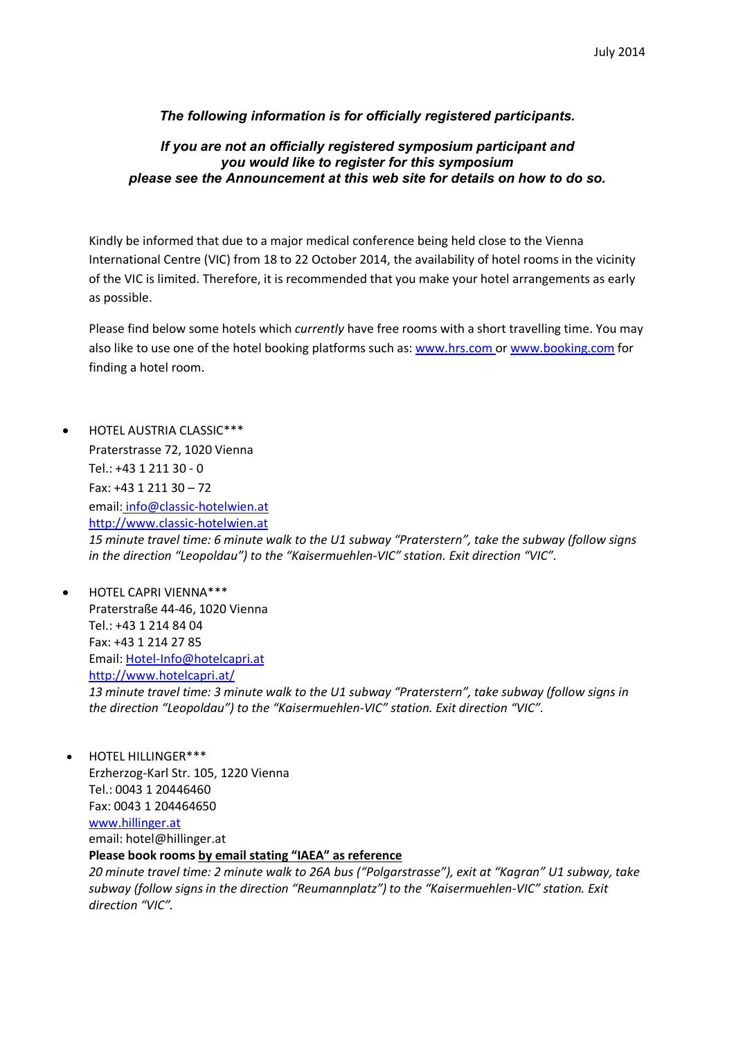## *The following information is for officially registered participants.*

## *If you are not an officially registered symposium participant and you would like to register for this symposium please see the Announcement at this web site for details on how to do so.*

Kindly be informed that due to a major medical conference being held close to the Vienna International Centre (VIC) from 18 to 22 October 2014, the availability of hotel rooms in the vicinity of the VIC is limited. Therefore, it is recommended that you make your hotel arrangements as early as possible.

Please find below some hotels which *currently* have free rooms with a short travelling time. You may also like to use one of the hotel booking platforms such as: www.hrs.com or www.booking.com for finding a hotel room.

- HOTEL AUSTRIA CLASSIC\*\*\* Praterstrasse 72, 1020 Vienna Tel.: +43 1 211 30 - 0 Fax: +43 1 211 30 – 72 email: info@classic-hotelwien.at http://www.classic-hotelwien.at *15 minute travel time: 6 minute walk to the U1 subway "Praterstern", take the subway (follow signs in the direction "Leopoldau") to the "Kaisermuehlen-VIC" station. Exit direction "VIC".*
- HOTEL CAPRI VIENNA\*\*\* Praterstraße 44-46, 1020 Vienna Tel.: +43 1 214 84 04 Fax: +43 1 214 27 85 Email: Hotel-Info@hotelcapri.at http://www.hotelcapri.at/ *13 minute travel time: 3 minute walk to the U1 subway "Praterstern", take subway (follow signs in the direction "Leopoldau") to the "Kaisermuehlen-VIC" station. Exit direction "VIC".*
- HOTEL HILLINGER\*\*\* Erzherzog-Karl Str. 105, 1220 Vienna Tel.: 0043 1 20446460 Fax: 0043 1 204464650 www.hillinger.at email: hotel@hillinger.at **Please book rooms by email stating "IAEA" as reference**  *20 minute travel time: 2 minute walk to 26A bus ("Polgarstrasse"), exit at "Kagran" U1 subway, take*

*subway (follow signs in the direction "Reumannplatz") to the "Kaisermuehlen-VIC" station. Exit direction "VIC".*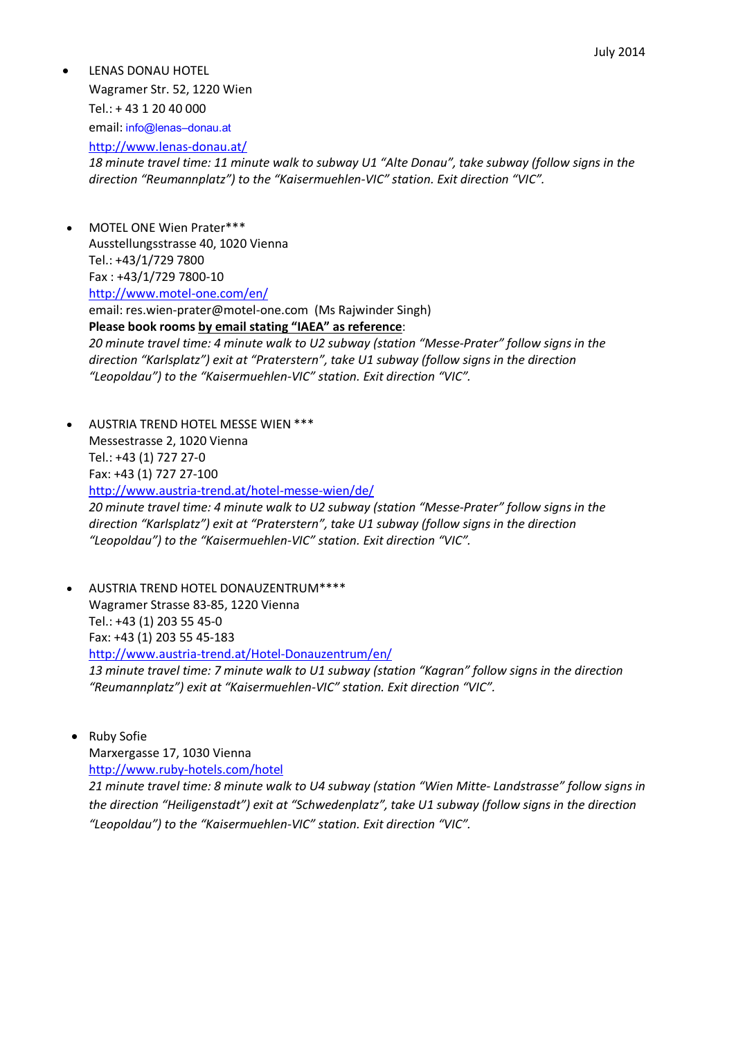• LENAS DONAU HOTEL

Wagramer Str. 52, 1220 Wien Tel.: + 43 1 20 40 000

email: info@lenas–donau.at http://www.lenas-donau.at/

*18 minute travel time: 11 minute walk to subway U1 "Alte Donau", take subway (follow signs in the direction "Reumannplatz") to the "Kaisermuehlen-VIC" station. Exit direction "VIC".* 

- MOTEL ONE Wien Prater\*\*\* Ausstellungsstrasse 40, 1020 Vienna Tel.: +43/1/729 7800 Fax : +43/1/729 7800-10 http://www.motel-one.com/en/ email: res.wien-prater@motel-one.com (Ms Rajwinder Singh) **Please book rooms by email stating "IAEA" as reference**: *20 minute travel time: 4 minute walk to U2 subway (station "Messe-Prater" follow signs in the direction "Karlsplatz") exit at "Praterstern", take U1 subway (follow signs in the direction "Leopoldau") to the "Kaisermuehlen-VIC" station. Exit direction "VIC".*
- AUSTRIA TREND HOTEL MESSE WIEN \*\*\* Messestrasse 2, 1020 Vienna Tel.: +43 (1) 727 27-0 Fax: +43 (1) 727 27-100 http://www.austria-trend.at/hotel-messe-wien/de/ *20 minute travel time: 4 minute walk to U2 subway (station "Messe-Prater" follow signs in the direction "Karlsplatz") exit at "Praterstern", take U1 subway (follow signs in the direction "Leopoldau") to the "Kaisermuehlen-VIC" station. Exit direction "VIC".*
- AUSTRIA TREND HOTEL DONAUZENTRUM\*\*\*\* Wagramer Strasse 83-85, 1220 Vienna Tel.: +43 (1) 203 55 45-0 Fax: +43 (1) 203 55 45-183 http://www.austria-trend.at/Hotel-Donauzentrum/en/ *13 minute travel time: 7 minute walk to U1 subway (station "Kagran" follow signs in the direction "Reumannplatz") exit at "Kaisermuehlen-VIC" station. Exit direction "VIC".*
- Ruby Sofie

Marxergasse 17, 1030 Vienna http://www.ruby-hotels.com/hotel

*21 minute travel time: 8 minute walk to U4 subway (station "Wien Mitte- Landstrasse" follow signs in the direction "Heiligenstadt") exit at "Schwedenplatz", take U1 subway (follow signs in the direction "Leopoldau") to the "Kaisermuehlen-VIC" station. Exit direction "VIC".*